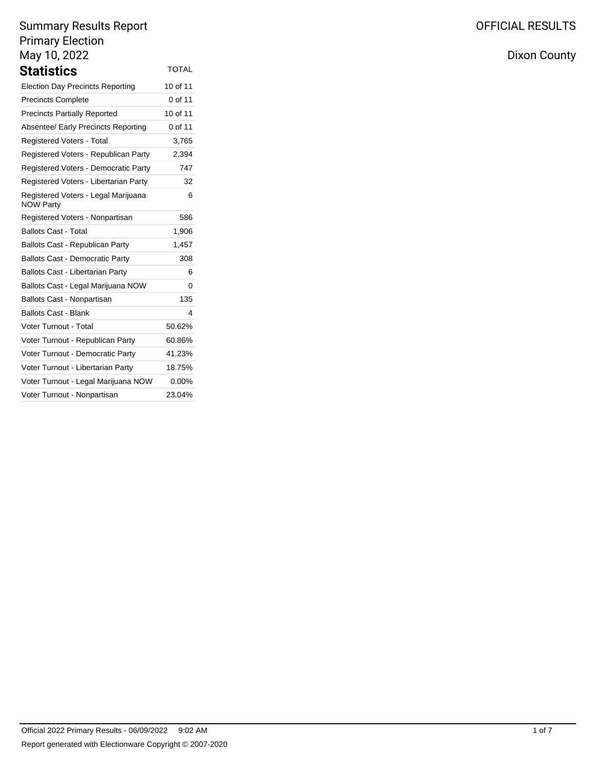| Statistics                                              | <b>TOTAL</b> |
|---------------------------------------------------------|--------------|
| <b>Election Day Precincts Reporting</b>                 | 10 of 11     |
| <b>Precincts Complete</b>                               | 0 of 11      |
| <b>Precincts Partially Reported</b>                     | 10 of 11     |
| Absentee/ Early Precincts Reporting                     | 0 of 11      |
| <b>Registered Voters - Total</b>                        | 3,765        |
| Registered Voters - Republican Party                    | 2,394        |
| Registered Voters - Democratic Party                    | 747          |
| Registered Voters - Libertarian Party                   | 32           |
| Registered Voters - Legal Marijuana<br><b>NOW Party</b> | 6            |
| Registered Voters - Nonpartisan                         | 586          |
| <b>Ballots Cast - Total</b>                             | 1,906        |
| Ballots Cast - Republican Party                         | 1,457        |
| <b>Ballots Cast - Democratic Party</b>                  | 308          |
| <b>Ballots Cast - Libertarian Party</b>                 | 6            |
| Ballots Cast - Legal Marijuana NOW                      | 0            |
| Ballots Cast - Nonpartisan                              | 135          |
| <b>Ballots Cast - Blank</b>                             | 4            |
| Voter Turnout - Total                                   | 50.62%       |
| Voter Turnout - Republican Party                        | 60.86%       |
| Voter Turnout - Democratic Party                        | 41.23%       |
| Voter Turnout - Libertarian Party                       | 18.75%       |
| Voter Turnout - Legal Marijuana NOW                     | 0.00%        |
| Voter Turnout - Nonpartisan                             | 23.04%       |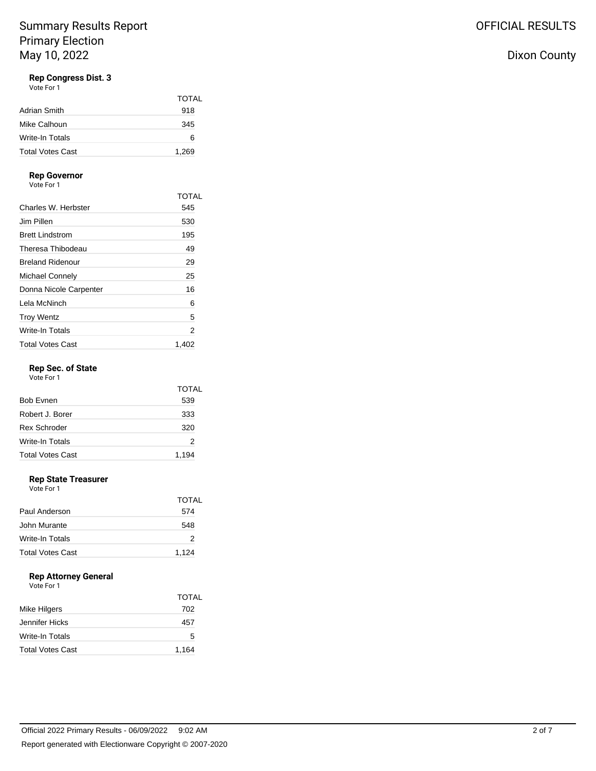### **Rep Congress Dist. 3**

Vote For 1

|                         | <b>TOTAL</b> |
|-------------------------|--------------|
| Adrian Smith            | 918          |
| Mike Calhoun            | 345          |
| Write-In Totals         | 6            |
| <b>Total Votes Cast</b> | 1,269        |

## **Rep Governor**

Vote For 1

|                         | TOTAL |
|-------------------------|-------|
| Charles W. Herbster     | 545   |
| Jim Pillen              | 530   |
| <b>Brett Lindstrom</b>  | 195   |
| Theresa Thibodeau       | 49    |
| <b>Breland Ridenour</b> | 29    |
| Michael Connely         | 25    |
| Donna Nicole Carpenter  | 16    |
| Lela McNinch            | 6     |
| <b>Troy Wentz</b>       | 5     |
| Write-In Totals         | 2     |
| <b>Total Votes Cast</b> | 1.402 |

### **Rep Sec. of State**

Vote For 1

|                         | <b>TOTAL</b> |
|-------------------------|--------------|
| <b>Bob Evnen</b>        | 539          |
| Robert J. Borer         | 333          |
| <b>Rex Schroder</b>     | 320          |
| <b>Write-In Totals</b>  | 2            |
| <b>Total Votes Cast</b> | 1,194        |

### **Rep State Treasurer**

Vote For 1

|                         | TOTAL |
|-------------------------|-------|
| Paul Anderson           | 574   |
| John Murante            | 548   |
| Write-In Totals         | 2     |
| <b>Total Votes Cast</b> | 1,124 |

### **Rep Attorney General**

Vote For 1

|                         | TOTAL |
|-------------------------|-------|
| Mike Hilgers            | 702   |
| Jennifer Hicks          | 457   |
| <b>Write-In Totals</b>  | 5     |
| <b>Total Votes Cast</b> | 1,164 |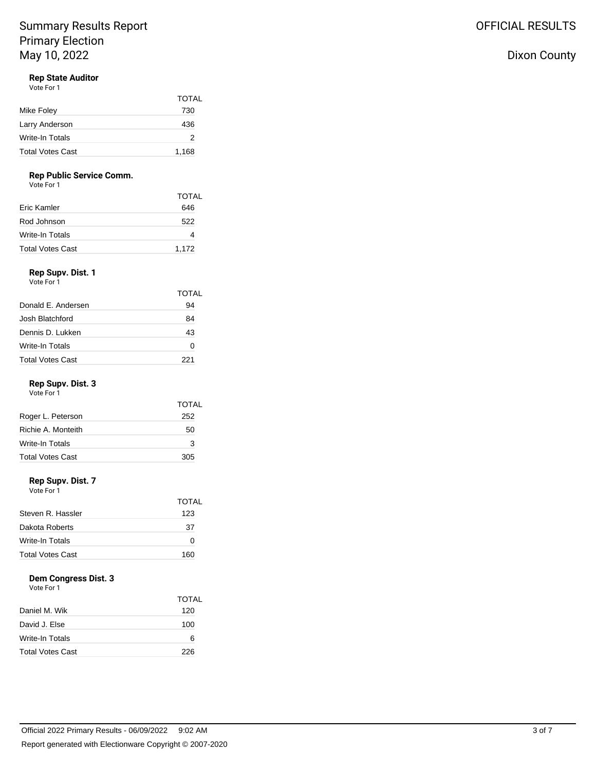## **Rep State Auditor**

Vote For 1

|                         | <b>TOTAL</b> |
|-------------------------|--------------|
| Mike Foley              | 730          |
| Larry Anderson          | 436          |
| Write-In Totals         | 2            |
| <b>Total Votes Cast</b> | 1,168        |

### **Rep Public Service Comm.**

Vote For 1

|                  | <b>TOTAL</b> |
|------------------|--------------|
| Eric Kamler      | 646          |
| Rod Johnson      | 522          |
| Write-In Totals  | 4            |
| Total Votes Cast | 1,172        |

## **Rep Supv. Dist. 1**

| Vote For 1              |              |
|-------------------------|--------------|
|                         | <b>TOTAL</b> |
| Donald F. Andersen      | 94           |
| Josh Blatchford         | 84           |
| Dennis D. Lukken        | 43           |
| <b>Write-In Totals</b>  | 0            |
| <b>Total Votes Cast</b> | 221          |

### **Rep Supv. Dist. 3**

Vote For 1

|                         | <b>TOTAL</b> |
|-------------------------|--------------|
| Roger L. Peterson       | 252          |
| Richie A. Monteith      | 50           |
| Write-In Totals         | 3            |
| <b>Total Votes Cast</b> | 305          |

### **Rep Supv. Dist. 7**

Vote For 1

|                         | TOTAL |
|-------------------------|-------|
| Steven R. Hassler       | 123   |
| Dakota Roberts          | 37    |
| Write-In Totals         | ∩     |
| <b>Total Votes Cast</b> | 160   |

## **Dem Congress Dist. 3**

Vote For 1

|                         | <b>TOTAL</b> |
|-------------------------|--------------|
| Daniel M. Wik           | 120          |
| David J. Else           | 100          |
| Write-In Totals         | 6            |
| <b>Total Votes Cast</b> | 226          |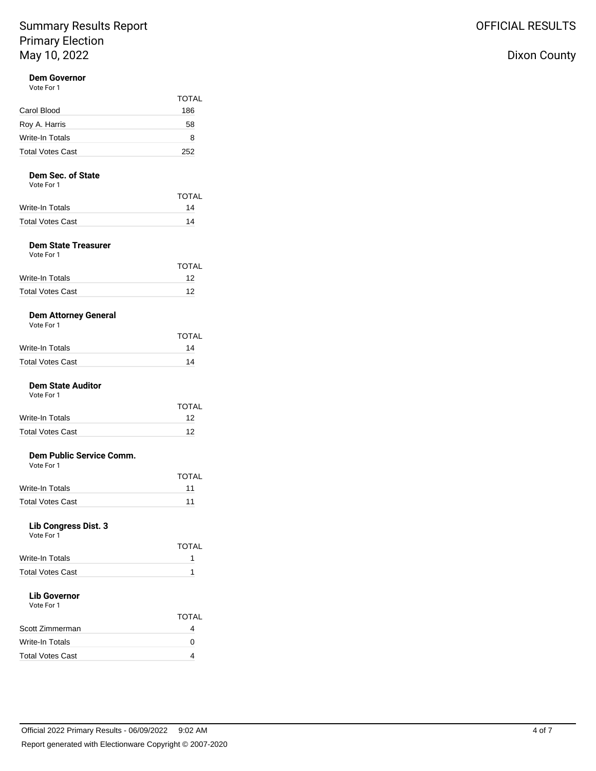### **Dem Governor** Vote For 1

| VULE FUI I              |              |
|-------------------------|--------------|
|                         | <b>TOTAL</b> |
| Carol Blood             | 186          |
| Roy A. Harris           | 58           |
| Write-In Totals         | 8            |
| <b>Total Votes Cast</b> | 252          |

### **Dem Sec. of State**

Vote For 1

|                  | <b>TOTAL</b> |
|------------------|--------------|
| Write-In Totals  | 14           |
| Total Votes Cast | 14           |

### **Dem State Treasurer**

| Vote For 1       |              |
|------------------|--------------|
|                  | <b>TOTAL</b> |
| Write-In Totals  | 12           |
| Total Votes Cast | 12           |

### **Dem Attorney General**

| Vote For 1 |  |  |
|------------|--|--|
|------------|--|--|

|                         | <b>TOTAL</b> |
|-------------------------|--------------|
| <b>Write-In Totals</b>  | 14           |
| <b>Total Votes Cast</b> | 14           |

### **Dem State Auditor**

| Vote For 1       |       |
|------------------|-------|
|                  | TOTAL |
| Write-In Totals  | 12    |
| Total Votes Cast | 12    |
|                  |       |

#### **Dem Public Service Comm.**  $V_{\alpha}$ te Fo

| VOLE FOI I              |              |
|-------------------------|--------------|
|                         | <b>TOTAL</b> |
| Write-In Totals         | 11           |
| <b>Total Votes Cast</b> | 11           |

### **Lib Congress Dist. 3**

Vote For 1

|                         | <b>TOTAL</b> |
|-------------------------|--------------|
| Write-In Totals         |              |
| <b>Total Votes Cast</b> |              |
| .                       |              |

### **Lib Governor** Vote For 1

|                         | TOTAL |
|-------------------------|-------|
| Scott Zimmerman         |       |
| <b>Write-In Totals</b>  | n     |
| <b>Total Votes Cast</b> |       |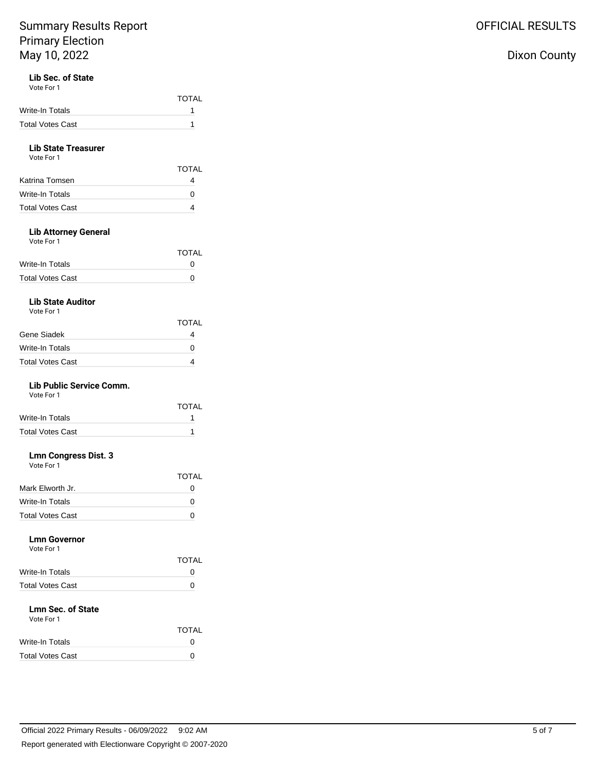# Lib Sec. of State<br>Vote For 1

| Vote For 1 |  |
|------------|--|
|------------|--|

|                  | <b>TOTAL</b> |
|------------------|--------------|
| Write-In Totals  |              |
| Total Votes Cast |              |

### **Lib State Treasurer**

| Vote For 1       |              |
|------------------|--------------|
|                  | <b>TOTAL</b> |
| Katrina Tomsen   |              |
| Write-In Totals  |              |
| Total Votes Cast |              |

### **Lib Attorney General**

Vote For 1

|                         | <b>TOTAL</b> |
|-------------------------|--------------|
| Write-In Totals         | $^{\circ}$   |
| <b>Total Votes Cast</b> | $^{\circ}$   |

### **Lib State Auditor**

Vote For 1

|                  | <b>TOTAL</b>      |
|------------------|-------------------|
| Gene Siadek      |                   |
| Write-In Totals  | $\mathbf{\Omega}$ |
| Total Votes Cast |                   |

### **Lib Public Service Comm.**

Vote For 1 TOTAL Write-In Totals 1 Total Votes Cast 1

### **Lmn Congress Dist. 3**

| Vote For 1       |              |
|------------------|--------------|
|                  | <b>TOTAL</b> |
| Mark Elworth Jr. | 0            |
| Write-In Totals  | 0            |
| Total Votes Cast |              |

#### **Lmn Governor**  $V_{\text{obs}}$  For

| VOIE FOL L              |              |
|-------------------------|--------------|
|                         | <b>TOTAL</b> |
| Write-In Totals         | 0            |
| <b>Total Votes Cast</b> | 0            |
|                         |              |

### **Lmn Sec. of State** Vote For 1

| <b>TOTAL</b> |  |
|--------------|--|
| O            |  |
| Ω            |  |
|              |  |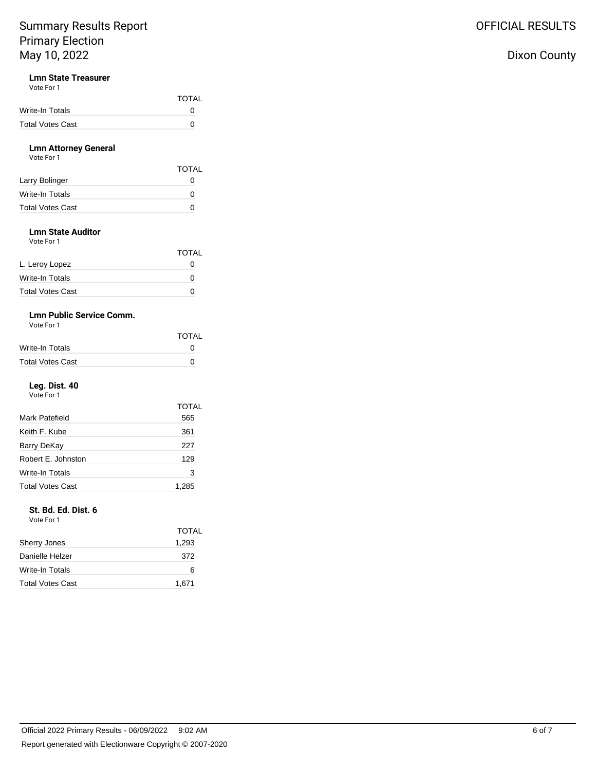### **Lmn State Treasurer**

Vote For 1

|                  | <b>TOTAL</b> |
|------------------|--------------|
| Write-In Totals  | $\mathbf{U}$ |
| Total Votes Cast | n            |

### **Lmn Attorney General**

| Vote For 1              |              |
|-------------------------|--------------|
|                         | <b>TOTAL</b> |
| Larry Bolinger          | O            |
| Write-In Totals         | $\mathbf{O}$ |
| <b>Total Votes Cast</b> | $\mathbf{O}$ |

### **Lmn State Auditor**

Vote For 1

|                         | <b>TOTAL</b> |
|-------------------------|--------------|
| L. Leroy Lopez          |              |
| <b>Write-In Totals</b>  | Ω            |
| <b>Total Votes Cast</b> | O            |

### **Lmn Public Service Comm.**

Vote For 1

|                         | <b>TOTAL</b> |
|-------------------------|--------------|
| Write-In Totals         | O            |
| <b>Total Votes Cast</b> | 0            |

### **Leg. Dist. 40**

Vote For 1

|                         | TOTAL |
|-------------------------|-------|
| Mark Patefield          | 565   |
| Keith F. Kube           | 361   |
| Barry DeKay             | 227   |
| Robert E. Johnston      | 129   |
| Write-In Totals         | 3     |
| <b>Total Votes Cast</b> | 1,285 |

### **St. Bd. Ed. Dist. 6**

Vote For 1

|                         | TOTAL |
|-------------------------|-------|
| <b>Sherry Jones</b>     | 1,293 |
| Danielle Helzer         | 372   |
| Write-In Totals         | 6     |
| <b>Total Votes Cast</b> | 1,671 |